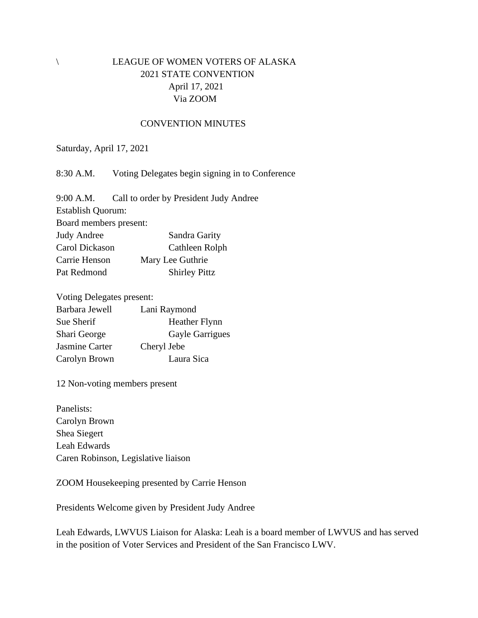## \ LEAGUE OF WOMEN VOTERS OF ALASKA 2021 STATE CONVENTION April 17, 2021 Via ZOOM

## CONVENTION MINUTES

Saturday, April 17, 2021

8:30 A.M. Voting Delegates begin signing in to Conference

9:00 A.M. Call to order by President Judy Andree Establish Quorum: Board members present: Judy Andree Sandra Garity Carol Dickason Cathleen Rolph Carrie Henson Mary Lee Guthrie Pat Redmond Shirley Pittz

Voting Delegates present:

| Lani Raymond         |
|----------------------|
| <b>Heather Flynn</b> |
| Gayle Garrigues      |
| Cheryl Jebe          |
| Laura Sica           |
|                      |

12 Non-voting members present

Panelists: Carolyn Brown Shea Siegert Leah Edwards Caren Robinson, Legislative liaison

ZOOM Housekeeping presented by Carrie Henson

Presidents Welcome given by President Judy Andree

Leah Edwards, LWVUS Liaison for Alaska: Leah is a board member of LWVUS and has served in the position of Voter Services and President of the San Francisco LWV.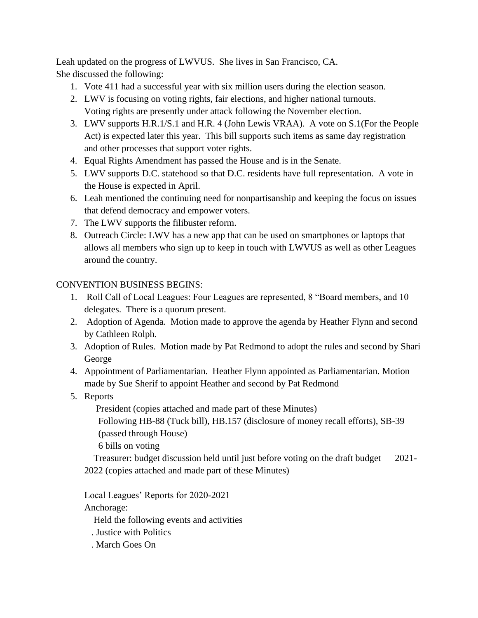Leah updated on the progress of LWVUS. She lives in San Francisco, CA. She discussed the following:

- 1. Vote 411 had a successful year with six million users during the election season.
- 2. LWV is focusing on voting rights, fair elections, and higher national turnouts. Voting rights are presently under attack following the November election.
- 3. LWV supports H.R.1/S.1 and H.R. 4 (John Lewis VRAA). A vote on S.1(For the People Act) is expected later this year. This bill supports such items as same day registration and other processes that support voter rights.
- 4. Equal Rights Amendment has passed the House and is in the Senate.
- 5. LWV supports D.C. statehood so that D.C. residents have full representation. A vote in the House is expected in April.
- 6. Leah mentioned the continuing need for nonpartisanship and keeping the focus on issues that defend democracy and empower voters.
- 7. The LWV supports the filibuster reform.
- 8. Outreach Circle: LWV has a new app that can be used on smartphones or laptops that allows all members who sign up to keep in touch with LWVUS as well as other Leagues around the country.

## CONVENTION BUSINESS BEGINS:

- 1. Roll Call of Local Leagues: Four Leagues are represented, 8 "Board members, and 10 delegates. There is a quorum present.
- 2. Adoption of Agenda. Motion made to approve the agenda by Heather Flynn and second by Cathleen Rolph.
- 3. Adoption of Rules. Motion made by Pat Redmond to adopt the rules and second by Shari George
- 4. Appointment of Parliamentarian. Heather Flynn appointed as Parliamentarian. Motion made by Sue Sherif to appoint Heather and second by Pat Redmond
- 5. Reports

President (copies attached and made part of these Minutes)

 Following HB-88 (Tuck bill), HB.157 (disclosure of money recall efforts), SB-39 (passed through House)

6 bills on voting

 Treasurer: budget discussion held until just before voting on the draft budget 2021- 2022 (copies attached and made part of these Minutes)

Local Leagues' Reports for 2020-2021

Anchorage:

Held the following events and activities

- . Justice with Politics
- . March Goes On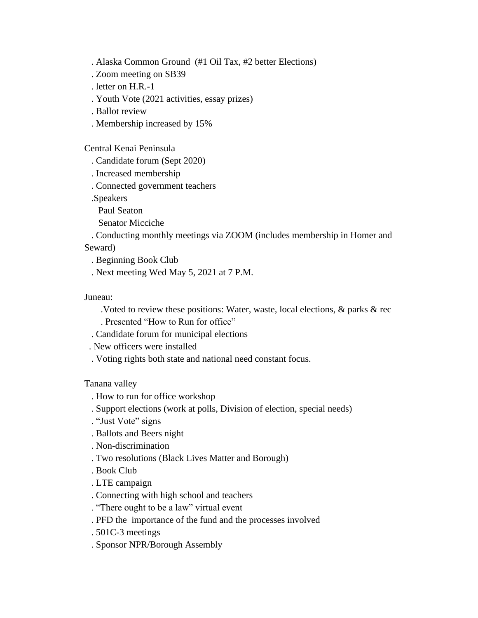. Alaska Common Ground (#1 Oil Tax, #2 better Elections)

- . Zoom meeting on SB39
- . letter on H.R.-1
- . Youth Vote (2021 activities, essay prizes)
- . Ballot review
- . Membership increased by 15%

Central Kenai Peninsula

- . Candidate forum (Sept 2020)
- . Increased membership
- . Connected government teachers

.Speakers

Paul Seaton

Senator Micciche

 . Conducting monthly meetings via ZOOM (includes membership in Homer and Seward)

. Beginning Book Club

. Next meeting Wed May 5, 2021 at 7 P.M.

## Juneau:

- .Voted to review these positions: Water, waste, local elections, & parks & rec
- . Presented "How to Run for office"
- . Candidate forum for municipal elections
- . New officers were installed
- . Voting rights both state and national need constant focus.

Tanana valley

- . How to run for office workshop
- . Support elections (work at polls, Division of election, special needs)
- . "Just Vote" signs
- . Ballots and Beers night
- . Non-discrimination
- . Two resolutions (Black Lives Matter and Borough)
- . Book Club
- . LTE campaign
- . Connecting with high school and teachers
- . "There ought to be a law" virtual event
- . PFD the importance of the fund and the processes involved
- . 501C-3 meetings
- . Sponsor NPR/Borough Assembly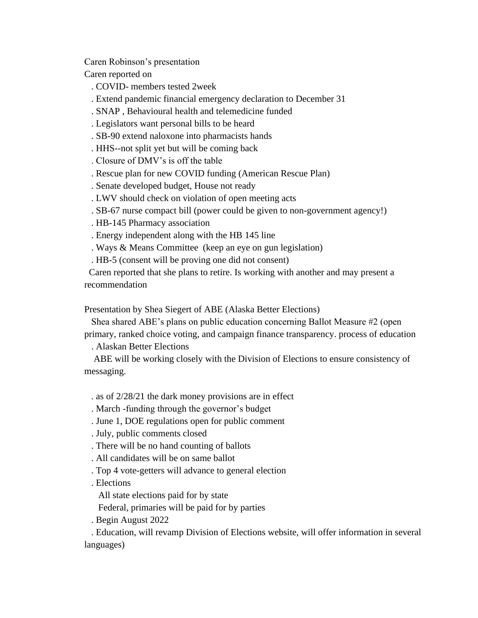Caren Robinson's presentation

Caren reported on

- . COVID- members tested 2week
- . Extend pandemic financial emergency declaration to December 31
- . SNAP , Behavioural health and telemedicine funded
- . Legislators want personal bills to be heard
- . SB-90 extend naloxone into pharmacists hands
- . HHS--not split yet but will be coming back
- . Closure of DMV's is off the table
- . Rescue plan for new COVID funding (American Rescue Plan)
- . Senate developed budget, House not ready
- . LWV should check on violation of open meeting acts
- . SB-67 nurse compact bill (power could be given to non-government agency!)
- . HB-145 Pharmacy association
- . Energy independent along with the HB 145 line
- . Ways & Means Committee (keep an eye on gun legislation)
- . HB-5 (consent will be proving one did not consent)

 Caren reported that she plans to retire. Is working with another and may present a recommendation

Presentation by Shea Siegert of ABE (Alaska Better Elections)

 Shea shared ABE's plans on public education concerning Ballot Measure #2 (open primary, ranked choice voting, and campaign finance transparency. process of education

. Alaskan Better Elections

 ABE will be working closely with the Division of Elections to ensure consistency of messaging.

- . as of 2/28/21 the dark money provisions are in effect
- . March -funding through the governor's budget
- . June 1, DOE regulations open for public comment
- . July, public comments closed
- . There will be no hand counting of ballots
- . All candidates will be on same ballot
- . Top 4 vote-getters will advance to general election
- . Elections
	- All state elections paid for by state
- Federal, primaries will be paid for by parties
- . Begin August 2022

 . Education, will revamp Division of Elections website, will offer information in several languages)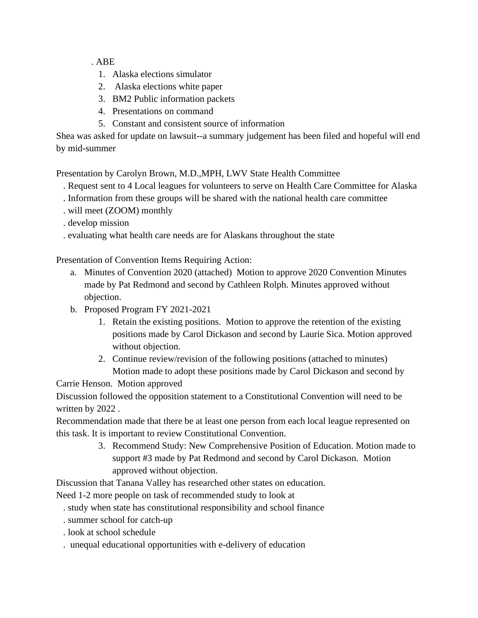. ABE

- 1. Alaska elections simulator
- 2. Alaska elections white paper
- 3. BM2 Public information packets
- 4. Presentations on command
- 5. Constant and consistent source of information

Shea was asked for update on lawsuit--a summary judgement has been filed and hopeful will end by mid-summer

Presentation by Carolyn Brown, M.D.,MPH, LWV State Health Committee

- . Request sent to 4 Local leagues for volunteers to serve on Health Care Committee for Alaska
- . Information from these groups will be shared with the national health care committee
- . will meet (ZOOM) monthly
- . develop mission
- . evaluating what health care needs are for Alaskans throughout the state

Presentation of Convention Items Requiring Action:

- a. Minutes of Convention 2020 (attached) Motion to approve 2020 Convention Minutes made by Pat Redmond and second by Cathleen Rolph. Minutes approved without objection.
- b. Proposed Program FY 2021-2021
	- 1. Retain the existing positions. Motion to approve the retention of the existing positions made by Carol Dickason and second by Laurie Sica. Motion approved without objection.
	- 2. Continue review/revision of the following positions (attached to minutes) Motion made to adopt these positions made by Carol Dickason and second by
- Carrie Henson. Motion approved

Discussion followed the opposition statement to a Constitutional Convention will need to be written by 2022 .

Recommendation made that there be at least one person from each local league represented on this task. It is important to review Constitutional Convention.

> 3. Recommend Study: New Comprehensive Position of Education. Motion made to support #3 made by Pat Redmond and second by Carol Dickason. Motion approved without objection.

Discussion that Tanana Valley has researched other states on education.

Need 1-2 more people on task of recommended study to look at

- . study when state has constitutional responsibility and school finance
- . summer school for catch-up
- . look at school schedule
- . unequal educational opportunities with e-delivery of education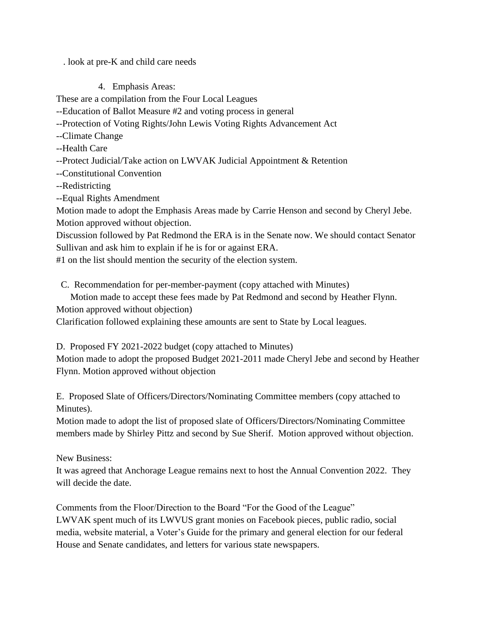. look at pre-K and child care needs

4. Emphasis Areas:

These are a compilation from the Four Local Leagues

--Education of Ballot Measure #2 and voting process in general

--Protection of Voting Rights/John Lewis Voting Rights Advancement Act

--Climate Change

--Health Care

--Protect Judicial/Take action on LWVAK Judicial Appointment & Retention

--Constitutional Convention

--Redistricting

--Equal Rights Amendment

Motion made to adopt the Emphasis Areas made by Carrie Henson and second by Cheryl Jebe. Motion approved without objection.

Discussion followed by Pat Redmond the ERA is in the Senate now. We should contact Senator Sullivan and ask him to explain if he is for or against ERA.

#1 on the list should mention the security of the election system.

C. Recommendation for per-member-payment (copy attached with Minutes)

Motion made to accept these fees made by Pat Redmond and second by Heather Flynn.

Motion approved without objection)

Clarification followed explaining these amounts are sent to State by Local leagues.

D. Proposed FY 2021-2022 budget (copy attached to Minutes)

Motion made to adopt the proposed Budget 2021-2011 made Cheryl Jebe and second by Heather Flynn. Motion approved without objection

E. Proposed Slate of Officers/Directors/Nominating Committee members (copy attached to Minutes).

Motion made to adopt the list of proposed slate of Officers/Directors/Nominating Committee members made by Shirley Pittz and second by Sue Sherif. Motion approved without objection.

New Business:

It was agreed that Anchorage League remains next to host the Annual Convention 2022. They will decide the date.

Comments from the Floor/Direction to the Board "For the Good of the League" LWVAK spent much of its LWVUS grant monies on Facebook pieces, public radio, social media, website material, a Voter's Guide for the primary and general election for our federal House and Senate candidates, and letters for various state newspapers.